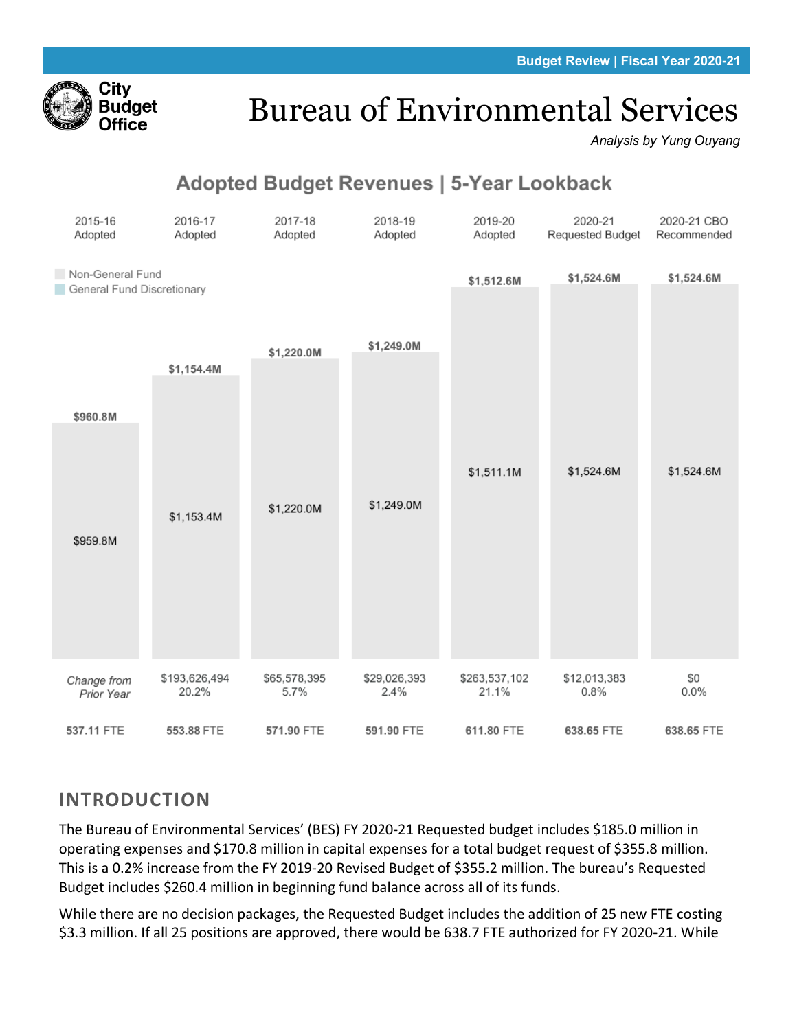

# Bureau of Environmental Services

*Analysis by Yung Ouyang*

# **Adopted Budget Revenues | 5-Year Lookback**

| 2015-16<br>Adopted                             | 2016-17<br>Adopted     | 2017-18<br>Adopted   | 2018-19<br>Adopted   | 2019-20<br>Adopted     | 2020-21<br>Requested Budget | 2020-21 CBO<br>Recommended |
|------------------------------------------------|------------------------|----------------------|----------------------|------------------------|-----------------------------|----------------------------|
| Non-General Fund<br>General Fund Discretionary |                        |                      |                      | \$1,512.6M             | \$1,524.6M                  | \$1,524.6M                 |
|                                                | \$1,154.4M             | \$1,220.0M           | \$1,249.0M           |                        |                             |                            |
| \$960.8M                                       |                        |                      |                      |                        |                             |                            |
|                                                | \$1,153.4M             | \$1,220.0M           | \$1,249.0M           | \$1,511.1M             | \$1,524.6M                  | \$1,524.6M                 |
| \$959.8M                                       |                        |                      |                      |                        |                             |                            |
|                                                |                        |                      |                      |                        |                             |                            |
| Change from<br>Prior Year                      | \$193,626,494<br>20.2% | \$65,578,395<br>5.7% | \$29,026,393<br>2.4% | \$263,537,102<br>21.1% | \$12,013,383<br>0.8%        | \$0<br>0.0%                |
| 537.11 FTE                                     | 553.88 FTE             | 571.90 FTE           | 591.90 FTE           | 611.80 FTE             | 638.65 FTE                  | 638.65 FTE                 |

# **INTRODUCTION**

The Bureau of Environmental Services' (BES) FY 2020-21 Requested budget includes \$185.0 million in operating expenses and \$170.8 million in capital expenses for a total budget request of \$355.8 million. This is a 0.2% increase from the FY 2019-20 Revised Budget of \$355.2 million. The bureau's Requested Budget includes \$260.4 million in beginning fund balance across all of its funds.

While there are no decision packages, the Requested Budget includes the addition of 25 new FTE costing \$3.3 million. If all 25 positions are approved, there would be 638.7 FTE authorized for FY 2020-21. While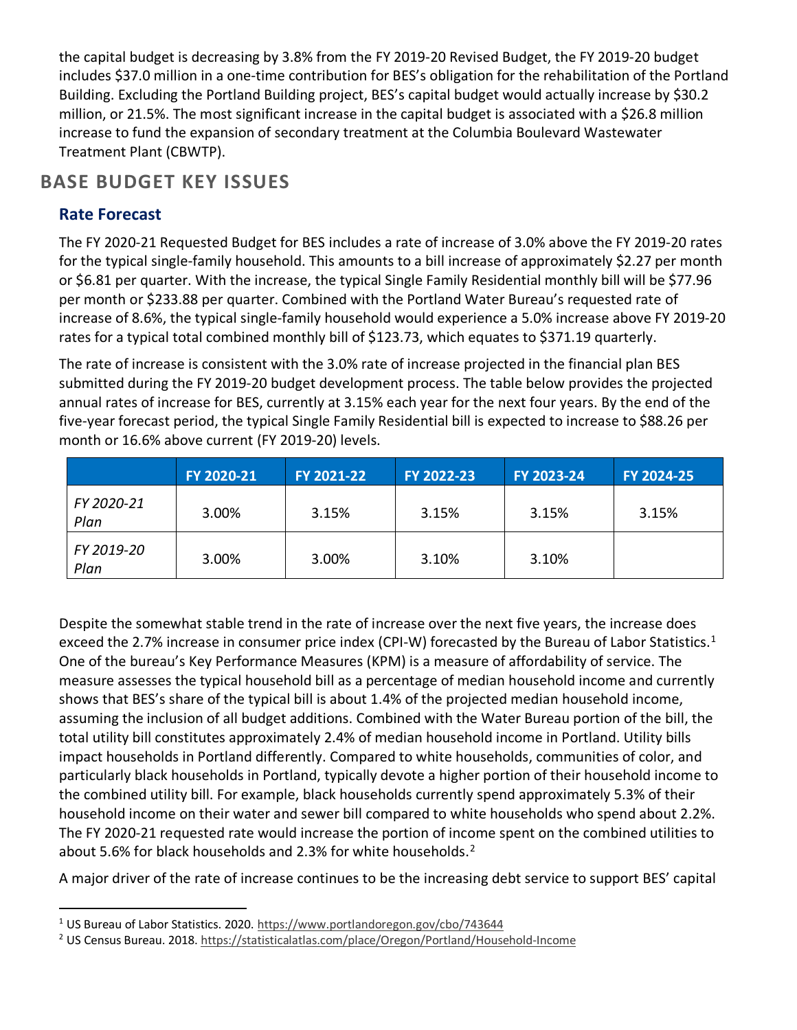the capital budget is decreasing by 3.8% from the FY 2019-20 Revised Budget, the FY 2019-20 budget includes \$37.0 million in a one-time contribution for BES's obligation for the rehabilitation of the Portland Building. Excluding the Portland Building project, BES's capital budget would actually increase by \$30.2 million, or 21.5%. The most significant increase in the capital budget is associated with a \$26.8 million increase to fund the expansion of secondary treatment at the Columbia Boulevard Wastewater Treatment Plant (CBWTP).

## **BASE BUDGET KEY ISSUES**

## **Rate Forecast**

The FY 2020-21 Requested Budget for BES includes a rate of increase of 3.0% above the FY 2019-20 rates for the typical single-family household. This amounts to a bill increase of approximately \$2.27 per month or \$6.81 per quarter. With the increase, the typical Single Family Residential monthly bill will be \$77.96 per month or \$233.88 per quarter. Combined with the Portland Water Bureau's requested rate of increase of 8.6%, the typical single-family household would experience a 5.0% increase above FY 2019-20 rates for a typical total combined monthly bill of \$123.73, which equates to \$371.19 quarterly.

The rate of increase is consistent with the 3.0% rate of increase projected in the financial plan BES submitted during the FY 2019-20 budget development process. The table below provides the projected annual rates of increase for BES, currently at 3.15% each year for the next four years. By the end of the five-year forecast period, the typical Single Family Residential bill is expected to increase to \$88.26 per month or 16.6% above current (FY 2019-20) levels.

|                    | FY 2020-21 | FY 2021-22 | FY 2022-23 | FY 2023-24 | <b>FY 2024-25</b> |
|--------------------|------------|------------|------------|------------|-------------------|
| FY 2020-21<br>Plan | 3.00%      | 3.15%      | 3.15%      | 3.15%      | 3.15%             |
| FY 2019-20<br>Plan | 3.00%      | 3.00%      | 3.10%      | 3.10%      |                   |

Despite the somewhat stable trend in the rate of increase over the next five years, the increase does exceed the 2.7% increase in consumer price index (CPI-W) forecasted by the Bureau of Labor Statistics.<sup>[1](#page-1-0)</sup> One of the bureau's Key Performance Measures (KPM) is a measure of affordability of service. The measure assesses the typical household bill as a percentage of median household income and currently shows that BES's share of the typical bill is about 1.4% of the projected median household income, assuming the inclusion of all budget additions. Combined with the Water Bureau portion of the bill, the total utility bill constitutes approximately 2.4% of median household income in Portland. Utility bills impact households in Portland differently. Compared to white households, communities of color, and particularly black households in Portland, typically devote a higher portion of their household income to the combined utility bill. For example, black households currently spend approximately 5.3% of their household income on their water and sewer bill compared to white households who spend about 2.2%. The FY 2020-21 requested rate would increase the portion of income spent on the combined utilities to about 5.6% for black households and [2](#page-1-1).3% for white households. $^2$ 

A major driver of the rate of increase continues to be the increasing debt service to support BES' capital

<span id="page-1-0"></span><sup>&</sup>lt;sup>1</sup> US Bureau of Labor Statistics. 2020[. https://www.portlandoregon.gov/cbo/743644](https://www.portlandoregon.gov/cbo/743644)

<span id="page-1-1"></span><sup>2</sup> US Census Bureau. 2018[. https://statisticalatlas.com/place/Oregon/Portland/Household-Income](https://statisticalatlas.com/place/Oregon/Portland/Household-Income)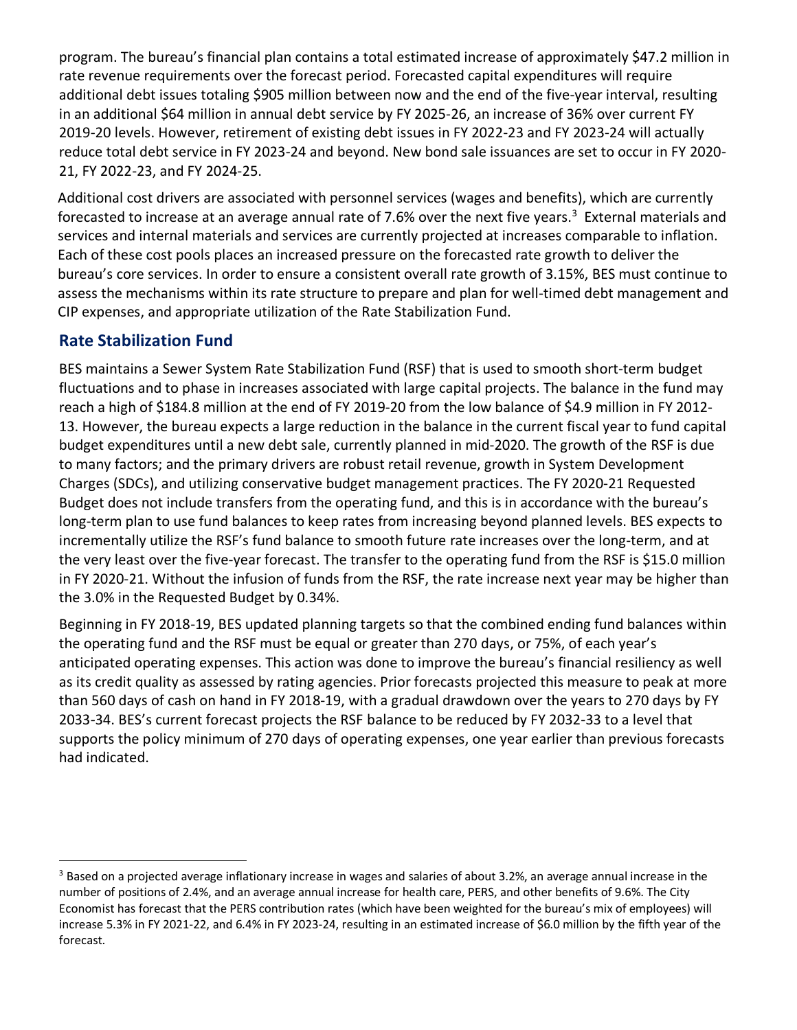program. The bureau's financial plan contains a total estimated increase of approximately \$47.2 million in rate revenue requirements over the forecast period. Forecasted capital expenditures will require additional debt issues totaling \$905 million between now and the end of the five-year interval, resulting in an additional \$64 million in annual debt service by FY 2025-26, an increase of 36% over current FY 2019-20 levels. However, retirement of existing debt issues in FY 2022-23 and FY 2023-24 will actually reduce total debt service in FY 2023-24 and beyond. New bond sale issuances are set to occur in FY 2020- 21, FY 2022-23, and FY 2024-25.

Additional cost drivers are associated with personnel services (wages and benefits), which are currently forecasted to increase at an average annual rate of 7.6% over the next five years.<sup>[3](#page-2-0)</sup> External materials and services and internal materials and services are currently projected at increases comparable to inflation. Each of these cost pools places an increased pressure on the forecasted rate growth to deliver the bureau's core services. In order to ensure a consistent overall rate growth of 3.15%, BES must continue to assess the mechanisms within its rate structure to prepare and plan for well-timed debt management and CIP expenses, and appropriate utilization of the Rate Stabilization Fund.

## **Rate Stabilization Fund**

BES maintains a Sewer System Rate Stabilization Fund (RSF) that is used to smooth short-term budget fluctuations and to phase in increases associated with large capital projects. The balance in the fund may reach a high of \$184.8 million at the end of FY 2019-20 from the low balance of \$4.9 million in FY 2012- 13. However, the bureau expects a large reduction in the balance in the current fiscal year to fund capital budget expenditures until a new debt sale, currently planned in mid-2020. The growth of the RSF is due to many factors; and the primary drivers are robust retail revenue, growth in System Development Charges (SDCs), and utilizing conservative budget management practices. The FY 2020-21 Requested Budget does not include transfers from the operating fund, and this is in accordance with the bureau's long-term plan to use fund balances to keep rates from increasing beyond planned levels. BES expects to incrementally utilize the RSF's fund balance to smooth future rate increases over the long-term, and at the very least over the five-year forecast. The transfer to the operating fund from the RSF is \$15.0 million in FY 2020-21. Without the infusion of funds from the RSF, the rate increase next year may be higher than the 3.0% in the Requested Budget by 0.34%.

Beginning in FY 2018-19, BES updated planning targets so that the combined ending fund balances within the operating fund and the RSF must be equal or greater than 270 days, or 75%, of each year's anticipated operating expenses. This action was done to improve the bureau's financial resiliency as well as its credit quality as assessed by rating agencies. Prior forecasts projected this measure to peak at more than 560 days of cash on hand in FY 2018-19, with a gradual drawdown over the years to 270 days by FY 2033-34. BES's current forecast projects the RSF balance to be reduced by FY 2032-33 to a level that supports the policy minimum of 270 days of operating expenses, one year earlier than previous forecasts had indicated.

<span id="page-2-0"></span> $3$  Based on a projected average inflationary increase in wages and salaries of about 3.2%, an average annual increase in the number of positions of 2.4%, and an average annual increase for health care, PERS, and other benefits of 9.6%. The City Economist has forecast that the PERS contribution rates (which have been weighted for the bureau's mix of employees) will increase 5.3% in FY 2021-22, and 6.4% in FY 2023-24, resulting in an estimated increase of \$6.0 million by the fifth year of the forecast.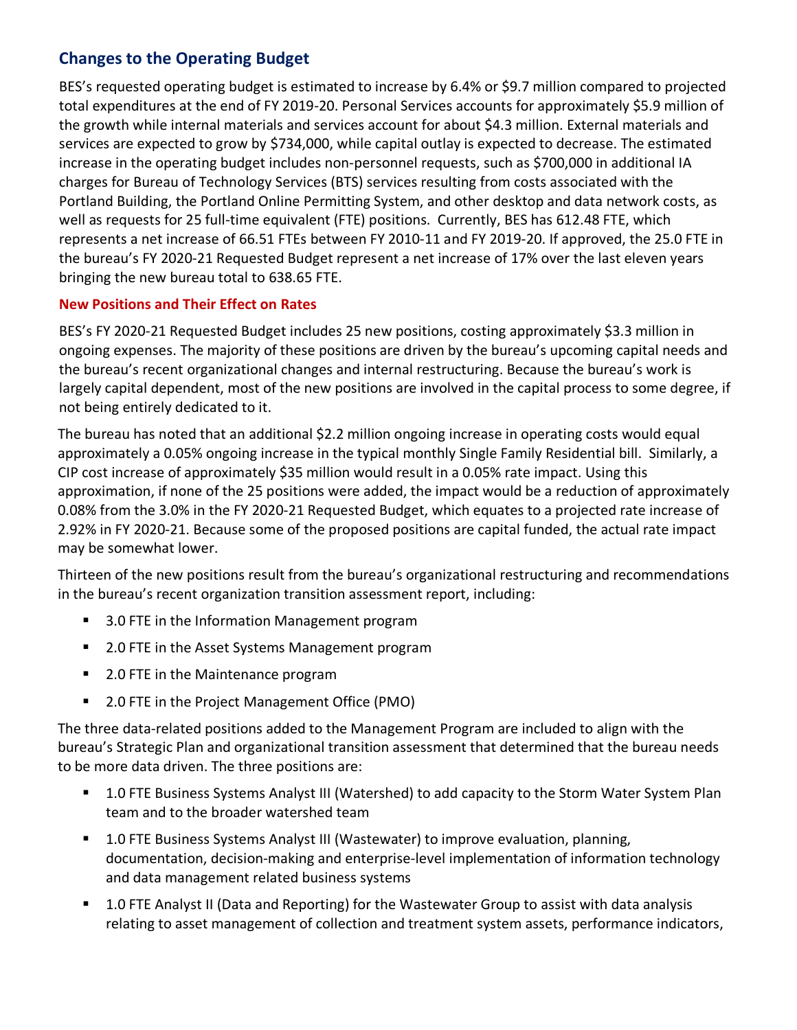## **Changes to the Operating Budget**

BES's requested operating budget is estimated to increase by 6.4% or \$9.7 million compared to projected total expenditures at the end of FY 2019-20. Personal Services accounts for approximately \$5.9 million of the growth while internal materials and services account for about \$4.3 million. External materials and services are expected to grow by \$734,000, while capital outlay is expected to decrease. The estimated increase in the operating budget includes non-personnel requests, such as \$700,000 in additional IA charges for Bureau of Technology Services (BTS) services resulting from costs associated with the Portland Building, the Portland Online Permitting System, and other desktop and data network costs, as well as requests for 25 full-time equivalent (FTE) positions. Currently, BES has 612.48 FTE, which represents a net increase of 66.51 FTEs between FY 2010-11 and FY 2019-20. If approved, the 25.0 FTE in the bureau's FY 2020-21 Requested Budget represent a net increase of 17% over the last eleven years bringing the new bureau total to 638.65 FTE.

#### **New Positions and Their Effect on Rates**

BES's FY 2020-21 Requested Budget includes 25 new positions, costing approximately \$3.3 million in ongoing expenses. The majority of these positions are driven by the bureau's upcoming capital needs and the bureau's recent organizational changes and internal restructuring. Because the bureau's work is largely capital dependent, most of the new positions are involved in the capital process to some degree, if not being entirely dedicated to it.

The bureau has noted that an additional \$2.2 million ongoing increase in operating costs would equal approximately a 0.05% ongoing increase in the typical monthly Single Family Residential bill. Similarly, a CIP cost increase of approximately \$35 million would result in a 0.05% rate impact. Using this approximation, if none of the 25 positions were added, the impact would be a reduction of approximately 0.08% from the 3.0% in the FY 2020-21 Requested Budget, which equates to a projected rate increase of 2.92% in FY 2020-21. Because some of the proposed positions are capital funded, the actual rate impact may be somewhat lower.

Thirteen of the new positions result from the bureau's organizational restructuring and recommendations in the bureau's recent organization transition assessment report, including:

- 3.0 FTE in the Information Management program
- 2.0 FTE in the Asset Systems Management program
- 2.0 FTE in the Maintenance program
- 2.0 FTE in the Project Management Office (PMO)

The three data-related positions added to the Management Program are included to align with the bureau's Strategic Plan and organizational transition assessment that determined that the bureau needs to be more data driven. The three positions are:

- 1.0 FTE Business Systems Analyst III (Watershed) to add capacity to the Storm Water System Plan team and to the broader watershed team
- 1.0 FTE Business Systems Analyst III (Wastewater) to improve evaluation, planning, documentation, decision-making and enterprise-level implementation of information technology and data management related business systems
- 1.0 FTE Analyst II (Data and Reporting) for the Wastewater Group to assist with data analysis relating to asset management of collection and treatment system assets, performance indicators,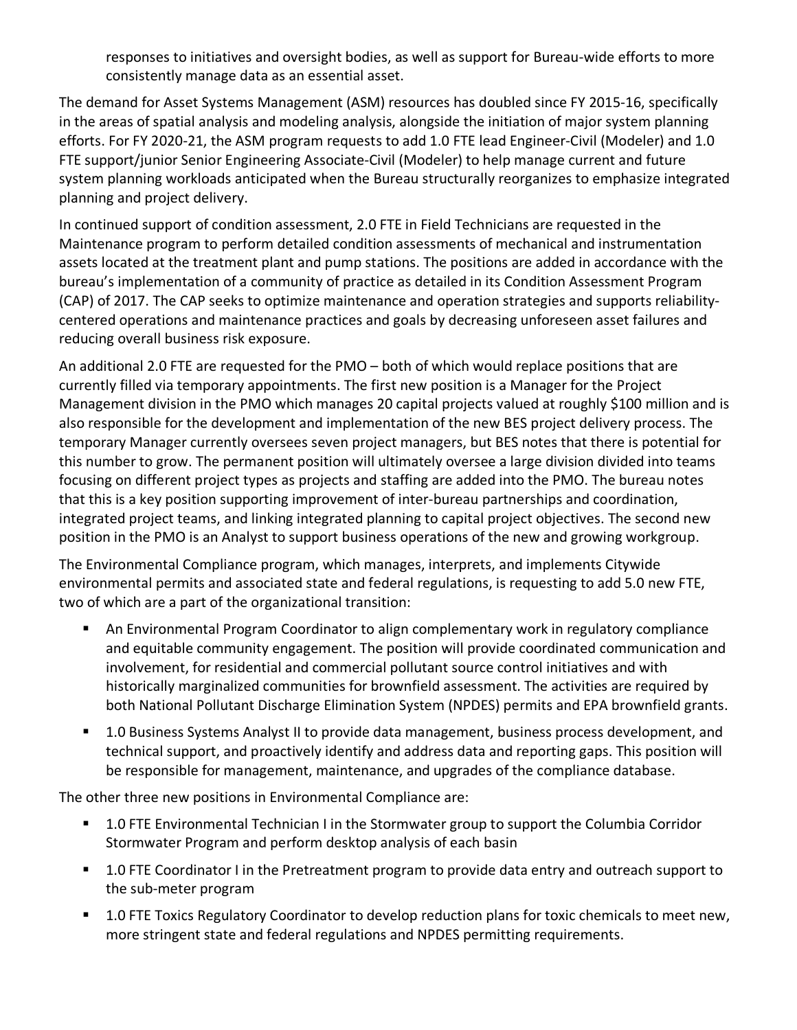responses to initiatives and oversight bodies, as well as support for Bureau-wide efforts to more consistently manage data as an essential asset.

The demand for Asset Systems Management (ASM) resources has doubled since FY 2015-16, specifically in the areas of spatial analysis and modeling analysis, alongside the initiation of major system planning efforts. For FY 2020-21, the ASM program requests to add 1.0 FTE lead Engineer-Civil (Modeler) and 1.0 FTE support/junior Senior Engineering Associate-Civil (Modeler) to help manage current and future system planning workloads anticipated when the Bureau structurally reorganizes to emphasize integrated planning and project delivery.

In continued support of condition assessment, 2.0 FTE in Field Technicians are requested in the Maintenance program to perform detailed condition assessments of mechanical and instrumentation assets located at the treatment plant and pump stations. The positions are added in accordance with the bureau's implementation of a community of practice as detailed in its Condition Assessment Program (CAP) of 2017. The CAP seeks to optimize maintenance and operation strategies and supports reliabilitycentered operations and maintenance practices and goals by decreasing unforeseen asset failures and reducing overall business risk exposure.

An additional 2.0 FTE are requested for the PMO – both of which would replace positions that are currently filled via temporary appointments. The first new position is a Manager for the Project Management division in the PMO which manages 20 capital projects valued at roughly \$100 million and is also responsible for the development and implementation of the new BES project delivery process. The temporary Manager currently oversees seven project managers, but BES notes that there is potential for this number to grow. The permanent position will ultimately oversee a large division divided into teams focusing on different project types as projects and staffing are added into the PMO. The bureau notes that this is a key position supporting improvement of inter-bureau partnerships and coordination, integrated project teams, and linking integrated planning to capital project objectives. The second new position in the PMO is an Analyst to support business operations of the new and growing workgroup.

The Environmental Compliance program, which manages, interprets, and implements Citywide environmental permits and associated state and federal regulations, is requesting to add 5.0 new FTE, two of which are a part of the organizational transition:

- An Environmental Program Coordinator to align complementary work in regulatory compliance and equitable community engagement. The position will provide coordinated communication and involvement, for residential and commercial pollutant source control initiatives and with historically marginalized communities for brownfield assessment. The activities are required by both National Pollutant Discharge Elimination System (NPDES) permits and EPA brownfield grants.
- 1.0 Business Systems Analyst II to provide data management, business process development, and technical support, and proactively identify and address data and reporting gaps. This position will be responsible for management, maintenance, and upgrades of the compliance database.

The other three new positions in Environmental Compliance are:

- 1.0 FTE Environmental Technician I in the Stormwater group to support the Columbia Corridor Stormwater Program and perform desktop analysis of each basin
- **1.0 FTE Coordinator I in the Pretreatment program to provide data entry and outreach support to** the sub-meter program
- 1.0 FTE Toxics Regulatory Coordinator to develop reduction plans for toxic chemicals to meet new, more stringent state and federal regulations and NPDES permitting requirements.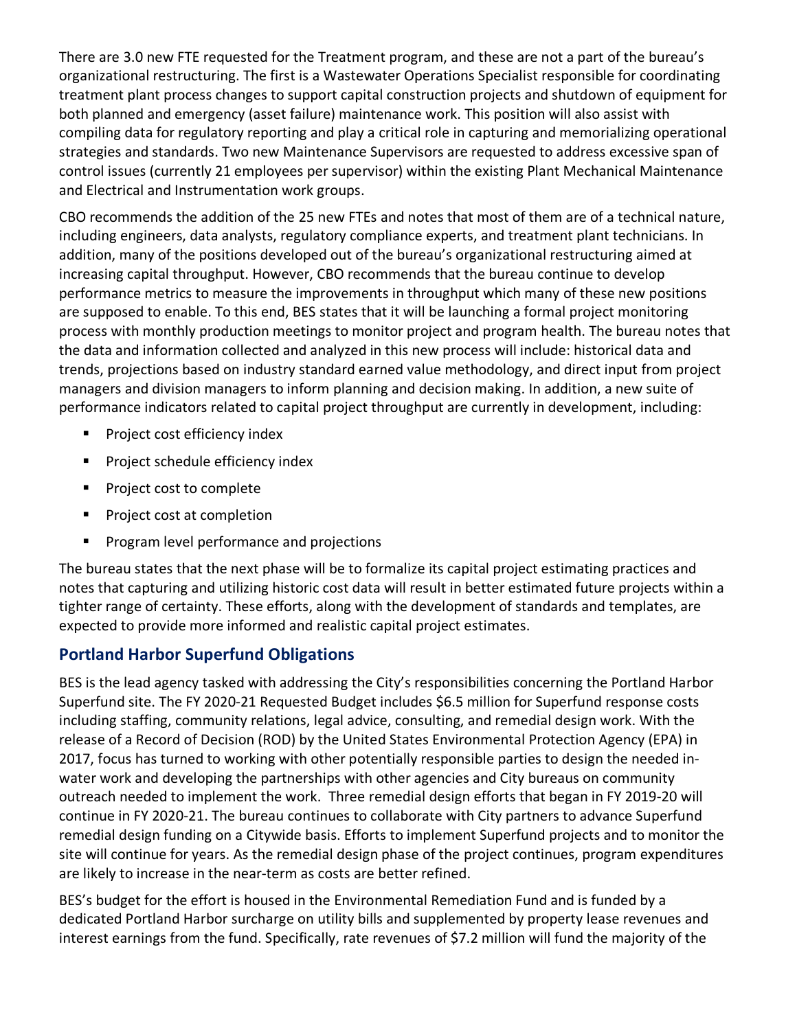There are 3.0 new FTE requested for the Treatment program, and these are not a part of the bureau's organizational restructuring. The first is a Wastewater Operations Specialist responsible for coordinating treatment plant process changes to support capital construction projects and shutdown of equipment for both planned and emergency (asset failure) maintenance work. This position will also assist with compiling data for regulatory reporting and play a critical role in capturing and memorializing operational strategies and standards. Two new Maintenance Supervisors are requested to address excessive span of control issues (currently 21 employees per supervisor) within the existing Plant Mechanical Maintenance and Electrical and Instrumentation work groups.

CBO recommends the addition of the 25 new FTEs and notes that most of them are of a technical nature, including engineers, data analysts, regulatory compliance experts, and treatment plant technicians. In addition, many of the positions developed out of the bureau's organizational restructuring aimed at increasing capital throughput. However, CBO recommends that the bureau continue to develop performance metrics to measure the improvements in throughput which many of these new positions are supposed to enable. To this end, BES states that it will be launching a formal project monitoring process with monthly production meetings to monitor project and program health. The bureau notes that the data and information collected and analyzed in this new process will include: historical data and trends, projections based on industry standard earned value methodology, and direct input from project managers and division managers to inform planning and decision making. In addition, a new suite of performance indicators related to capital project throughput are currently in development, including:

- Project cost efficiency index
- **Project schedule efficiency index**
- **Project cost to complete**
- **Project cost at completion**
- **Program level performance and projections**

The bureau states that the next phase will be to formalize its capital project estimating practices and notes that capturing and utilizing historic cost data will result in better estimated future projects within a tighter range of certainty. These efforts, along with the development of standards and templates, are expected to provide more informed and realistic capital project estimates.

## **Portland Harbor Superfund Obligations**

BES is the lead agency tasked with addressing the City's responsibilities concerning the Portland Harbor Superfund site. The FY 2020-21 Requested Budget includes \$6.5 million for Superfund response costs including staffing, community relations, legal advice, consulting, and remedial design work. With the release of a Record of Decision (ROD) by the United States Environmental Protection Agency (EPA) in 2017, focus has turned to working with other potentially responsible parties to design the needed inwater work and developing the partnerships with other agencies and City bureaus on community outreach needed to implement the work. Three remedial design efforts that began in FY 2019-20 will continue in FY 2020-21. The bureau continues to collaborate with City partners to advance Superfund remedial design funding on a Citywide basis. Efforts to implement Superfund projects and to monitor the site will continue for years. As the remedial design phase of the project continues, program expenditures are likely to increase in the near-term as costs are better refined.

BES's budget for the effort is housed in the Environmental Remediation Fund and is funded by a dedicated Portland Harbor surcharge on utility bills and supplemented by property lease revenues and interest earnings from the fund. Specifically, rate revenues of \$7.2 million will fund the majority of the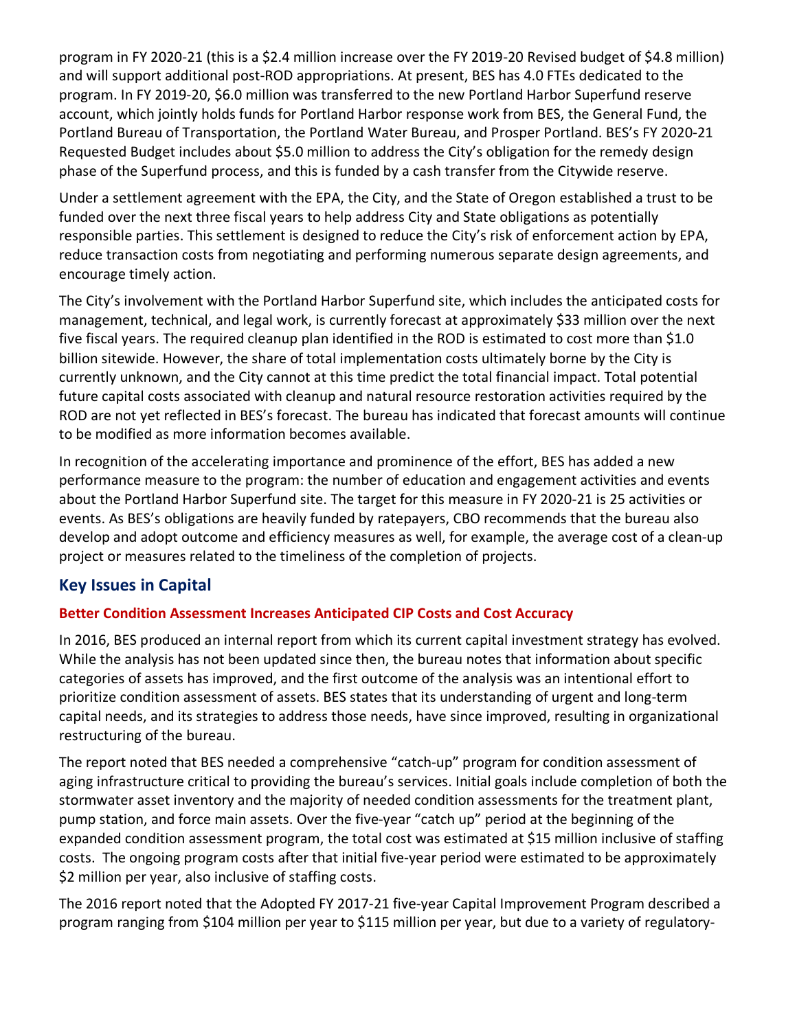program in FY 2020-21 (this is a \$2.4 million increase over the FY 2019-20 Revised budget of \$4.8 million) and will support additional post-ROD appropriations. At present, BES has 4.0 FTEs dedicated to the program. In FY 2019-20, \$6.0 million was transferred to the new Portland Harbor Superfund reserve account, which jointly holds funds for Portland Harbor response work from BES, the General Fund, the Portland Bureau of Transportation, the Portland Water Bureau, and Prosper Portland. BES's FY 2020-21 Requested Budget includes about \$5.0 million to address the City's obligation for the remedy design phase of the Superfund process, and this is funded by a cash transfer from the Citywide reserve.

Under a settlement agreement with the EPA, the City, and the State of Oregon established a trust to be funded over the next three fiscal years to help address City and State obligations as potentially responsible parties. This settlement is designed to reduce the City's risk of enforcement action by EPA, reduce transaction costs from negotiating and performing numerous separate design agreements, and encourage timely action.

The City's involvement with the Portland Harbor Superfund site, which includes the anticipated costs for management, technical, and legal work, is currently forecast at approximately \$33 million over the next five fiscal years. The required cleanup plan identified in the ROD is estimated to cost more than \$1.0 billion sitewide. However, the share of total implementation costs ultimately borne by the City is currently unknown, and the City cannot at this time predict the total financial impact. Total potential future capital costs associated with cleanup and natural resource restoration activities required by the ROD are not yet reflected in BES's forecast. The bureau has indicated that forecast amounts will continue to be modified as more information becomes available.

In recognition of the accelerating importance and prominence of the effort, BES has added a new performance measure to the program: the number of education and engagement activities and events about the Portland Harbor Superfund site. The target for this measure in FY 2020-21 is 25 activities or events. As BES's obligations are heavily funded by ratepayers, CBO recommends that the bureau also develop and adopt outcome and efficiency measures as well, for example, the average cost of a clean-up project or measures related to the timeliness of the completion of projects.

## **Key Issues in Capital**

#### **Better Condition Assessment Increases Anticipated CIP Costs and Cost Accuracy**

In 2016, BES produced an internal report from which its current capital investment strategy has evolved. While the analysis has not been updated since then, the bureau notes that information about specific categories of assets has improved, and the first outcome of the analysis was an intentional effort to prioritize condition assessment of assets. BES states that its understanding of urgent and long-term capital needs, and its strategies to address those needs, have since improved, resulting in organizational restructuring of the bureau.

The report noted that BES needed a comprehensive "catch-up" program for condition assessment of aging infrastructure critical to providing the bureau's services. Initial goals include completion of both the stormwater asset inventory and the majority of needed condition assessments for the treatment plant, pump station, and force main assets. Over the five-year "catch up" period at the beginning of the expanded condition assessment program, the total cost was estimated at \$15 million inclusive of staffing costs. The ongoing program costs after that initial five-year period were estimated to be approximately \$2 million per year, also inclusive of staffing costs.

The 2016 report noted that the Adopted FY 2017-21 five-year Capital Improvement Program described a program ranging from \$104 million per year to \$115 million per year, but due to a variety of regulatory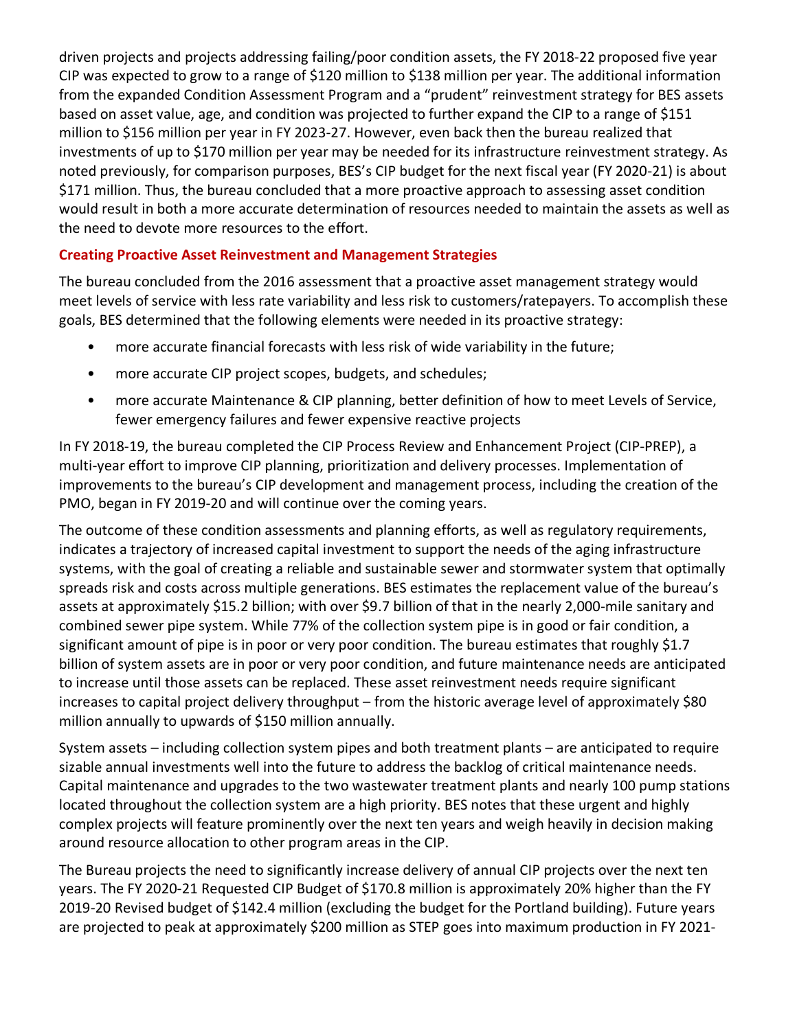driven projects and projects addressing failing/poor condition assets, the FY 2018-22 proposed five year CIP was expected to grow to a range of \$120 million to \$138 million per year. The additional information from the expanded Condition Assessment Program and a "prudent" reinvestment strategy for BES assets based on asset value, age, and condition was projected to further expand the CIP to a range of \$151 million to \$156 million per year in FY 2023-27. However, even back then the bureau realized that investments of up to \$170 million per year may be needed for its infrastructure reinvestment strategy. As noted previously, for comparison purposes, BES's CIP budget for the next fiscal year (FY 2020-21) is about \$171 million. Thus, the bureau concluded that a more proactive approach to assessing asset condition would result in both a more accurate determination of resources needed to maintain the assets as well as the need to devote more resources to the effort.

#### **Creating Proactive Asset Reinvestment and Management Strategies**

The bureau concluded from the 2016 assessment that a proactive asset management strategy would meet levels of service with less rate variability and less risk to customers/ratepayers. To accomplish these goals, BES determined that the following elements were needed in its proactive strategy:

- more accurate financial forecasts with less risk of wide variability in the future;
- more accurate CIP project scopes, budgets, and schedules;
- more accurate Maintenance & CIP planning, better definition of how to meet Levels of Service, fewer emergency failures and fewer expensive reactive projects

In FY 2018-19, the bureau completed the CIP Process Review and Enhancement Project (CIP-PREP), a multi-year effort to improve CIP planning, prioritization and delivery processes. Implementation of improvements to the bureau's CIP development and management process, including the creation of the PMO, began in FY 2019-20 and will continue over the coming years.

The outcome of these condition assessments and planning efforts, as well as regulatory requirements, indicates a trajectory of increased capital investment to support the needs of the aging infrastructure systems, with the goal of creating a reliable and sustainable sewer and stormwater system that optimally spreads risk and costs across multiple generations. BES estimates the replacement value of the bureau's assets at approximately \$15.2 billion; with over \$9.7 billion of that in the nearly 2,000-mile sanitary and combined sewer pipe system. While 77% of the collection system pipe is in good or fair condition, a significant amount of pipe is in poor or very poor condition. The bureau estimates that roughly \$1.7 billion of system assets are in poor or very poor condition, and future maintenance needs are anticipated to increase until those assets can be replaced. These asset reinvestment needs require significant increases to capital project delivery throughput – from the historic average level of approximately \$80 million annually to upwards of \$150 million annually.

System assets – including collection system pipes and both treatment plants – are anticipated to require sizable annual investments well into the future to address the backlog of critical maintenance needs. Capital maintenance and upgrades to the two wastewater treatment plants and nearly 100 pump stations located throughout the collection system are a high priority. BES notes that these urgent and highly complex projects will feature prominently over the next ten years and weigh heavily in decision making around resource allocation to other program areas in the CIP.

The Bureau projects the need to significantly increase delivery of annual CIP projects over the next ten years. The FY 2020-21 Requested CIP Budget of \$170.8 million is approximately 20% higher than the FY 2019-20 Revised budget of \$142.4 million (excluding the budget for the Portland building). Future years are projected to peak at approximately \$200 million as STEP goes into maximum production in FY 2021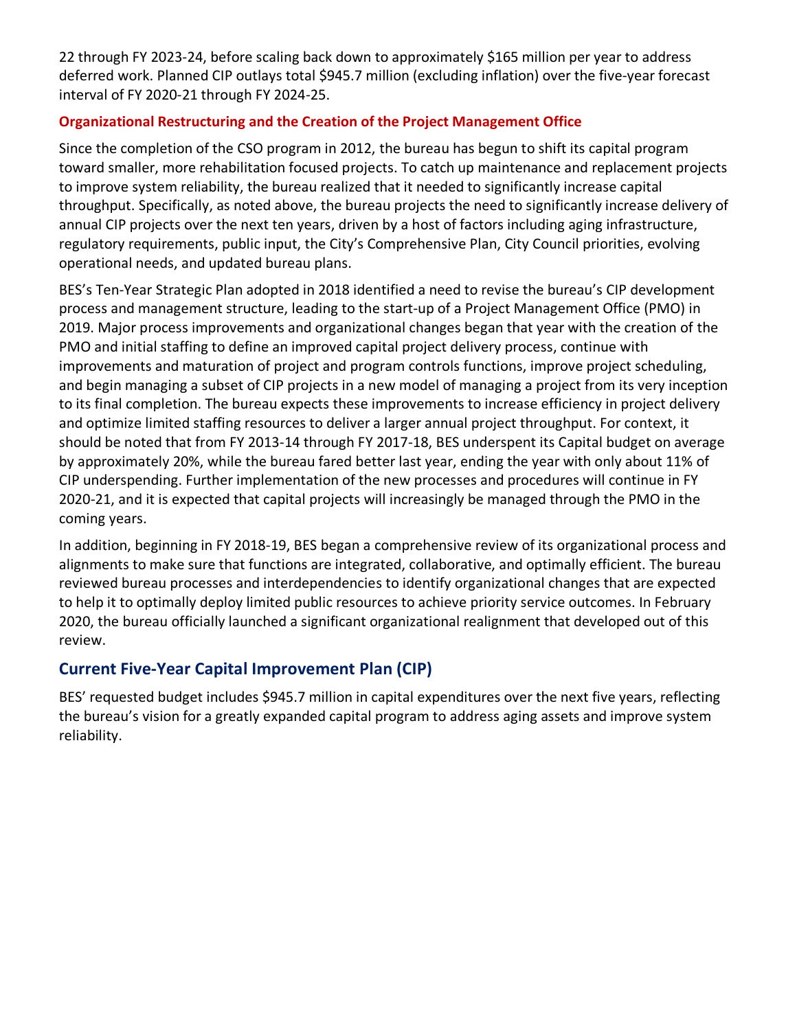22 through FY 2023-24, before scaling back down to approximately \$165 million per year to address deferred work. Planned CIP outlays total \$945.7 million (excluding inflation) over the five-year forecast interval of FY 2020-21 through FY 2024-25.

#### **Organizational Restructuring and the Creation of the Project Management Office**

Since the completion of the CSO program in 2012, the bureau has begun to shift its capital program toward smaller, more rehabilitation focused projects. To catch up maintenance and replacement projects to improve system reliability, the bureau realized that it needed to significantly increase capital throughput. Specifically, as noted above, the bureau projects the need to significantly increase delivery of annual CIP projects over the next ten years, driven by a host of factors including aging infrastructure, regulatory requirements, public input, the City's Comprehensive Plan, City Council priorities, evolving operational needs, and updated bureau plans.

BES's Ten-Year Strategic Plan adopted in 2018 identified a need to revise the bureau's CIP development process and management structure, leading to the start-up of a Project Management Office (PMO) in 2019. Major process improvements and organizational changes began that year with the creation of the PMO and initial staffing to define an improved capital project delivery process, continue with improvements and maturation of project and program controls functions, improve project scheduling, and begin managing a subset of CIP projects in a new model of managing a project from its very inception to its final completion. The bureau expects these improvements to increase efficiency in project delivery and optimize limited staffing resources to deliver a larger annual project throughput. For context, it should be noted that from FY 2013-14 through FY 2017-18, BES underspent its Capital budget on average by approximately 20%, while the bureau fared better last year, ending the year with only about 11% of CIP underspending. Further implementation of the new processes and procedures will continue in FY 2020-21, and it is expected that capital projects will increasingly be managed through the PMO in the coming years.

In addition, beginning in FY 2018-19, BES began a comprehensive review of its organizational process and alignments to make sure that functions are integrated, collaborative, and optimally efficient. The bureau reviewed bureau processes and interdependencies to identify organizational changes that are expected to help it to optimally deploy limited public resources to achieve priority service outcomes. In February 2020, the bureau officially launched a significant organizational realignment that developed out of this review.

## **Current Five-Year Capital Improvement Plan (CIP)**

BES' requested budget includes \$945.7 million in capital expenditures over the next five years, reflecting the bureau's vision for a greatly expanded capital program to address aging assets and improve system reliability.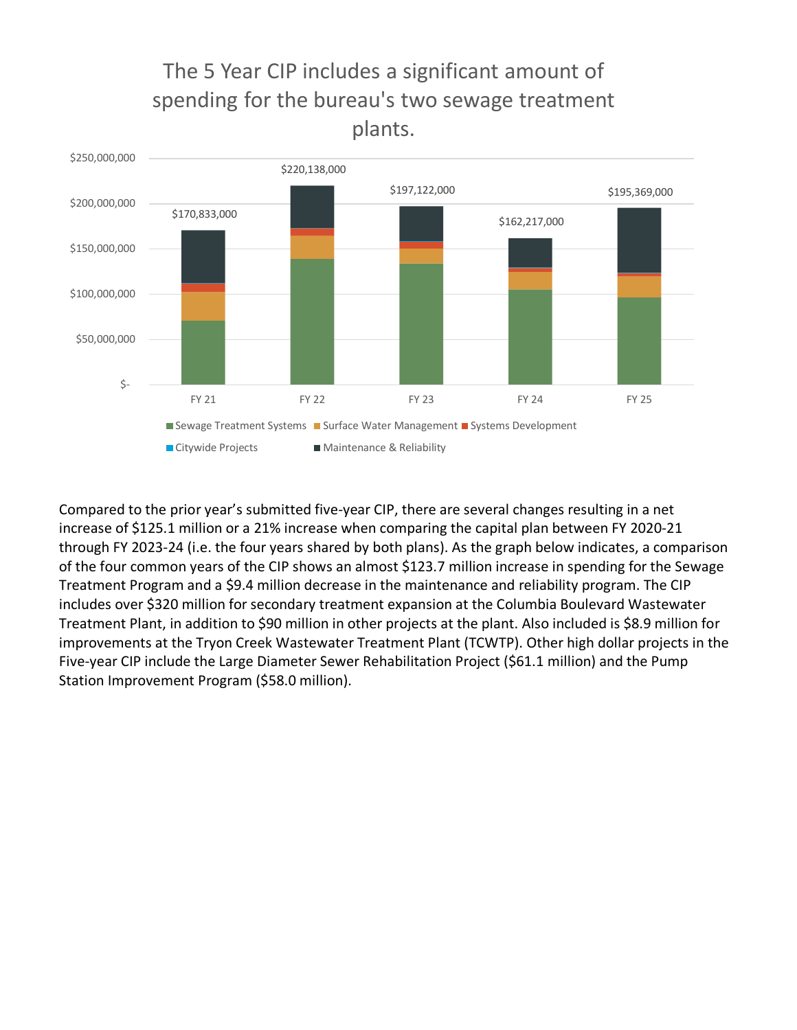

The 5 Year CIP includes a significant amount of

Compared to the prior year's submitted five-year CIP, there are several changes resulting in a net increase of \$125.1 million or a 21% increase when comparing the capital plan between FY 2020-21 through FY 2023-24 (i.e. the four years shared by both plans). As the graph below indicates, a comparison of the four common years of the CIP shows an almost \$123.7 million increase in spending for the Sewage Treatment Program and a \$9.4 million decrease in the maintenance and reliability program. The CIP includes over \$320 million for secondary treatment expansion at the Columbia Boulevard Wastewater Treatment Plant, in addition to \$90 million in other projects at the plant. Also included is \$8.9 million for improvements at the Tryon Creek Wastewater Treatment Plant (TCWTP). Other high dollar projects in the Five-year CIP include the Large Diameter Sewer Rehabilitation Project (\$61.1 million) and the Pump Station Improvement Program (\$58.0 million).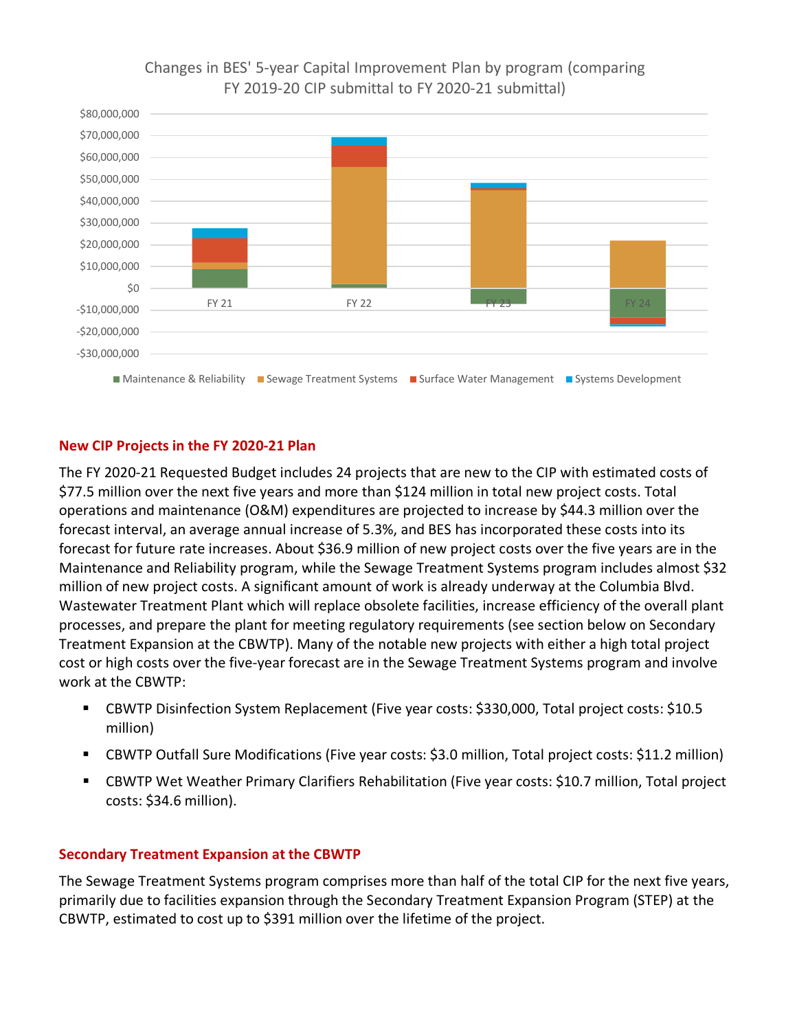#### Changes in BES' 5-year Capital Improvement Plan by program (comparing FY 2019-20 CIP submittal to FY 2020-21 submittal)



#### **New CIP Projects in the FY 2020-21 Plan**

The FY 2020-21 Requested Budget includes 24 projects that are new to the CIP with estimated costs of \$77.5 million over the next five years and more than \$124 million in total new project costs. Total operations and maintenance (O&M) expenditures are projected to increase by \$44.3 million over the forecast interval, an average annual increase of 5.3%, and BES has incorporated these costs into its forecast for future rate increases. About \$36.9 million of new project costs over the five years are in the Maintenance and Reliability program, while the Sewage Treatment Systems program includes almost \$32 million of new project costs. A significant amount of work is already underway at the Columbia Blvd. Wastewater Treatment Plant which will replace obsolete facilities, increase efficiency of the overall plant processes, and prepare the plant for meeting regulatory requirements (see section below on Secondary Treatment Expansion at the CBWTP). Many of the notable new projects with either a high total project cost or high costs over the five-year forecast are in the Sewage Treatment Systems program and involve work at the CBWTP:

- CBWTP Disinfection System Replacement (Five year costs: \$330,000, Total project costs: \$10.5 million)
- CBWTP Outfall Sure Modifications (Five year costs: \$3.0 million, Total project costs: \$11.2 million)
- CBWTP Wet Weather Primary Clarifiers Rehabilitation (Five year costs: \$10.7 million, Total project costs: \$34.6 million).

#### **Secondary Treatment Expansion at the CBWTP**

The Sewage Treatment Systems program comprises more than half of the total CIP for the next five years, primarily due to facilities expansion through the Secondary Treatment Expansion Program (STEP) at the CBWTP, estimated to cost up to \$391 million over the lifetime of the project.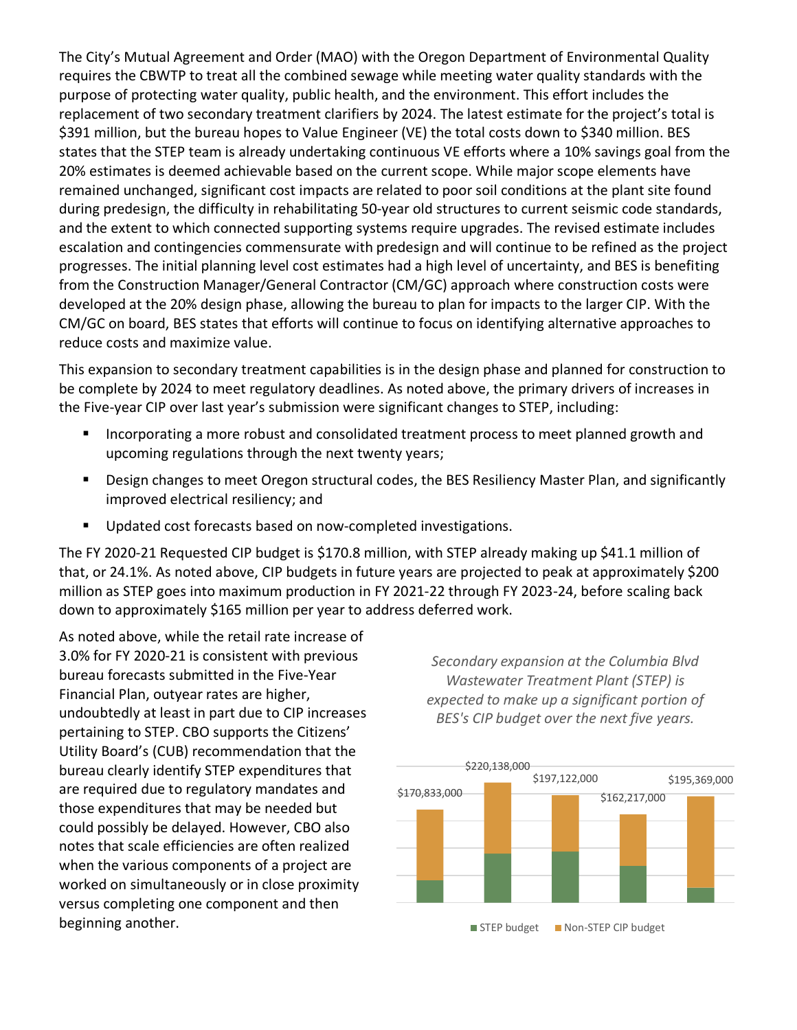The City's Mutual Agreement and Order (MAO) with the Oregon Department of Environmental Quality requires the CBWTP to treat all the combined sewage while meeting water quality standards with the purpose of protecting water quality, public health, and the environment. This effort includes the replacement of two secondary treatment clarifiers by 2024. The latest estimate for the project's total is \$391 million, but the bureau hopes to Value Engineer (VE) the total costs down to \$340 million. BES states that the STEP team is already undertaking continuous VE efforts where a 10% savings goal from the 20% estimates is deemed achievable based on the current scope. While major scope elements have remained unchanged, significant cost impacts are related to poor soil conditions at the plant site found during predesign, the difficulty in rehabilitating 50-year old structures to current seismic code standards, and the extent to which connected supporting systems require upgrades. The revised estimate includes escalation and contingencies commensurate with predesign and will continue to be refined as the project progresses. The initial planning level cost estimates had a high level of uncertainty, and BES is benefiting from the Construction Manager/General Contractor (CM/GC) approach where construction costs were developed at the 20% design phase, allowing the bureau to plan for impacts to the larger CIP. With the CM/GC on board, BES states that efforts will continue to focus on identifying alternative approaches to reduce costs and maximize value.

This expansion to secondary treatment capabilities is in the design phase and planned for construction to be complete by 2024 to meet regulatory deadlines. As noted above, the primary drivers of increases in the Five-year CIP over last year's submission were significant changes to STEP, including:

- Incorporating a more robust and consolidated treatment process to meet planned growth and upcoming regulations through the next twenty years;
- **Design changes to meet Oregon structural codes, the BES Resiliency Master Plan, and significantly** improved electrical resiliency; and
- **Updated cost forecasts based on now-completed investigations.**

The FY 2020-21 Requested CIP budget is \$170.8 million, with STEP already making up \$41.1 million of that, or 24.1%. As noted above, CIP budgets in future years are projected to peak at approximately \$200 million as STEP goes into maximum production in FY 2021-22 through FY 2023-24, before scaling back down to approximately \$165 million per year to address deferred work.

As noted above, while the retail rate increase of 3.0% for FY 2020-21 is consistent with previous bureau forecasts submitted in the Five-Year Financial Plan, outyear rates are higher, undoubtedly at least in part due to CIP increases pertaining to STEP. CBO supports the Citizens' Utility Board's (CUB) recommendation that the bureau clearly identify STEP expenditures that are required due to regulatory mandates and those expenditures that may be needed but could possibly be delayed. However, CBO also notes that scale efficiencies are often realized when the various components of a project are worked on simultaneously or in close proximity versus completing one component and then beginning another.

*Secondary expansion at the Columbia Blvd Wastewater Treatment Plant (STEP) is expected to make up a significant portion of BES's CIP budget over the next five years.*